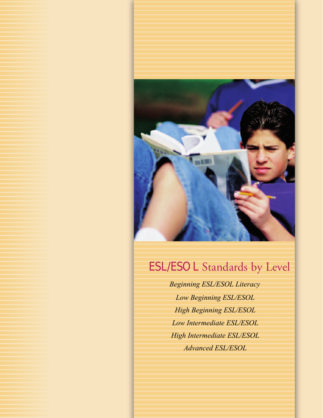

# ESL/ESOL Standards by Level

**Beginning ESL/ESOL Literacy** *Hintermediate ESL/ESOL Hi Advanced ESL/ESOL High Intermediate ESL/ESOL Low Beginning ESL/ESOL High Beginning ESL/ESOL Low Intermediate ESL/ESOL Advanced ESL/ESOL*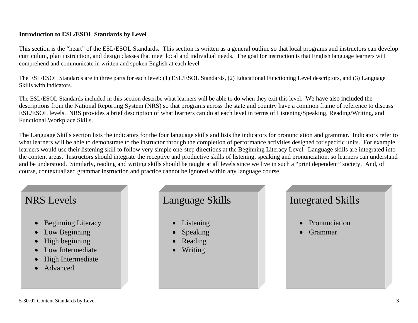## **Introduction to ESL/ESOL Standards by Level**

This section is the "heart" of the ESL/ESOL Standards. This section is written as a general outline so that local programs and instructors can develop curriculum, plan instruction, and design classes that meet local and individual needs. The goal for instruction is that English language learners will comprehend and communicate in written and spoken English at each level.

The ESL/ESOL Standards are in three parts for each level: (1) ESL/ESOL Standards, (2) Educational Functioning Level descriptors, and (3) Language Skills with indicators.

The ESL/ESOL Standards included in this section describe what learners will be able to do when they exit this level. We have also included the descriptions from the National Reporting System (NRS) so that programs across the state and country have a common frame of reference to discuss ESL/ESOL levels. NRS provides a brief description of what learners can do at each level in terms of Listening/Speaking, Reading/Writing, and Functional Workplace Skills.

The Language Skills section lists the indicators for the four language skills and lists the indicators for pronunciation and grammar. Indicators refer to what learners will be able to demonstrate to the instructor through the completion of performance activities designed for specific units. For example, learners would use their listening skill to follow very simple one-step directions at the Beginning Literacy Level. Language skills are integrated into the content areas. Instructors should integrate the receptive and productive skills of listening, speaking and pronunciation, so learners can understand and be understood. Similarly, reading and writing skills should be taught at all levels since we live in such a "print dependent" society. And, of course, contextualized grammar instruction and practice cannot be ignored within any language course.

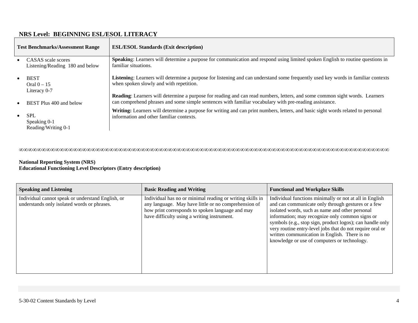# **NRS Level: BEGINNING ESL/ESOL LITERACY**

| <b>Test Benchmarks/Assessment Range</b> |                                                       | <b>ESL/ESOL Standards (Exit description)</b>                                                                                                                                                                                                 |
|-----------------------------------------|-------------------------------------------------------|----------------------------------------------------------------------------------------------------------------------------------------------------------------------------------------------------------------------------------------------|
|                                         | CASAS scale scores<br>Listening/Reading 180 and below | Speaking: Learners will determine a purpose for communication and respond using limited spoken English to routine questions in<br>familiar situations.                                                                                       |
|                                         | <b>BEST</b><br>Oral $0-15$<br>Literacy 0-7            | Listening: Learners will determine a purpose for listening and can understand some frequently used key words in familiar contexts<br>when spoken slowly and with repetition.                                                                 |
|                                         | BEST Plus 400 and below                               | <b>Reading:</b> Learners will determine a purpose for reading and can read numbers, letters, and some common sight words. Learners<br>can comprehend phrases and some simple sentences with familiar vocabulary with pre-reading assistance. |
| $\bullet$                               | <b>SPL</b><br>Speaking 0-1<br>Reading/Writing 0-1     | Writing: Learners will determine a purpose for writing and can print numbers, letters, and basic sight words related to personal<br>information and other familiar contexts.                                                                 |

∞∞∞∞∞∞∞∞∞∞∞∞∞∞∞∞∞∞∞∞∞∞∞∞∞∞∞∞∞∞∞∞∞∞∞∞∞∞∞∞∞∞∞∞∞∞∞∞∞∞∞∞∞∞∞∞∞∞∞∞∞∞∞∞∞∞∞∞∞∞∞∞∞∞∞∞∞∞∞∞∞∞

| <b>Speaking and Listening</b>                                                                    | <b>Basic Reading and Writing</b>                                                                                                                                                                                     | <b>Functional and Workplace Skills</b>                                                                                                                                                                                                                                                                                                                                                                                                         |
|--------------------------------------------------------------------------------------------------|----------------------------------------------------------------------------------------------------------------------------------------------------------------------------------------------------------------------|------------------------------------------------------------------------------------------------------------------------------------------------------------------------------------------------------------------------------------------------------------------------------------------------------------------------------------------------------------------------------------------------------------------------------------------------|
| Individual cannot speak or understand English, or<br>understands only isolated words or phrases. | Individual has no or minimal reading or writing skills in<br>any language. May have little or no comprehension of<br>how print corresponds to spoken language and may<br>have difficulty using a writing instrument. | Individual functions minimally or not at all in English<br>and can communicate only through gestures or a few<br>isolated words, such as name and other personal<br>information; may recognize only common signs or<br>symbols (e.g., stop sign, product logos); can handle only<br>very routine entry-level jobs that do not require oral or<br>written communication in English. There is no<br>knowledge or use of computers or technology. |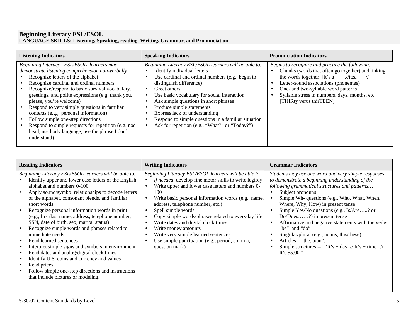#### **Beginning Literacy ESL/ESOL LANGUAGE SKILLS: Listening, Speaking, reading, Writing, Grammar, and Pronunciation**

| <b>Listening Indicators</b>                                                                                                                                                                                                                                                                                                                                                                                                                                                                                                                                            | <b>Speaking Indicators</b>                                                                                                                                                                                                                                                                                                                                                                                                                        | <b>Pronunciation Indicators</b>                                                                                                                                                                                                                                                                                    |
|------------------------------------------------------------------------------------------------------------------------------------------------------------------------------------------------------------------------------------------------------------------------------------------------------------------------------------------------------------------------------------------------------------------------------------------------------------------------------------------------------------------------------------------------------------------------|---------------------------------------------------------------------------------------------------------------------------------------------------------------------------------------------------------------------------------------------------------------------------------------------------------------------------------------------------------------------------------------------------------------------------------------------------|--------------------------------------------------------------------------------------------------------------------------------------------------------------------------------------------------------------------------------------------------------------------------------------------------------------------|
| Beginning Literacy ESL/ESOL learners may<br>demonstrate listening comprehension non-verbally<br>Recognize letters of the alphabet<br>Recognize cardinal and ordinal numbers<br>Recognize/respond to basic survival vocabulary,<br>greetings, and polite expressions (e.g. thank you,<br>please, you're welcome)<br>Respond to very simple questions in familiar<br>contexts (e.g., personal information)<br>Follow simple one-step directions<br>Respond to simple requests for repetition (e.g. nod<br>head, use body language, use the phrase I don't<br>understand) | Beginning Literacy ESL/ESOL learners will be able to<br>Identify individual letters<br>Use cardinal and ordinal numbers (e.g., begin to<br>distinguish difference)<br>Greet others<br>Use basic vocabulary for social interaction<br>Ask simple questions in short phrases<br>Produce simple statements<br>Express lack of understanding<br>Respond to simple questions in a familiar situation<br>Ask for repetition (e.g., "What?" or "Today?") | Begins to recognize and practice the following<br>Chunks (words that often go together) and linking<br>the words together [It's $a$ ___ .//itza ___//]<br>Letter-sound associations (phonemes)<br>One- and two-syllable word patterns<br>Syllable stress in numbers, days, months, etc.<br>[THIRty verus thirTEEN] |

| <b>Reading Indicators</b>                                                                                                                                                                                                                                                                                                                                                                                                                                                                                                                                                                                                                                                                                                                                                       | <b>Writing Indicators</b>                                                                                                                                                                                                                                                                                                                                                                                                                                                                                                                          | <b>Grammar Indicators</b>                                                                                                                                                                                                                                                                                                                                                                                                                                                                                                                                                                            |
|---------------------------------------------------------------------------------------------------------------------------------------------------------------------------------------------------------------------------------------------------------------------------------------------------------------------------------------------------------------------------------------------------------------------------------------------------------------------------------------------------------------------------------------------------------------------------------------------------------------------------------------------------------------------------------------------------------------------------------------------------------------------------------|----------------------------------------------------------------------------------------------------------------------------------------------------------------------------------------------------------------------------------------------------------------------------------------------------------------------------------------------------------------------------------------------------------------------------------------------------------------------------------------------------------------------------------------------------|------------------------------------------------------------------------------------------------------------------------------------------------------------------------------------------------------------------------------------------------------------------------------------------------------------------------------------------------------------------------------------------------------------------------------------------------------------------------------------------------------------------------------------------------------------------------------------------------------|
| Beginning Literacy ESL/ESOL learners will be able to<br>Identify upper and lower case letters of the English<br>alphabet and numbers 0-100<br>Apply sound/symbol relationships to decode letters<br>of the alphabet, consonant blends, and familiar<br>short words<br>Recognize personal information words in print<br>(e.g., first/last name, address, telephone number,<br>SSN, date of birth, sex, marital status)<br>Recognize simple words and phrases related to<br>immediate needs<br>Read learned sentences<br>Interpret simple signs and symbols in environment<br>Read dates and analog/digital clock times<br>Identify U.S. coins and currency and values<br>Read prices<br>Follow simple one-step directions and instructions<br>that include pictures or modeling. | Beginning Literacy ESL/ESOL learners will be able to<br>If needed, develop fine motor skills to write legibly<br>Write upper and lower case letters and numbers 0-<br>100<br>Write basic personal information words (e.g., name,<br>address, telephone number, etc.)<br>Spell simple words<br>Copy simple words/phrases related to everyday life<br>Write dates and digital clock times.<br>$\bullet$<br>Write money amounts<br>Write very simple learned sentences<br>$\bullet$<br>Use simple punctuation (e.g., period, comma,<br>question mark) | Students may use one word and very simple responses<br>to demonstrate a beginning understanding of the<br>following grammatical structures and patterns<br>Subject pronouns<br>Simple Wh- questions (e.g., Who, What, When,<br>Where, Why, How) in present tense<br>Simple Yes/No questions (e.g., Is/Are? or<br>$Do/Does$ ?) in present tense<br>Affirmative and negative statements with the verbs<br>$\bullet$<br>"be" and "do"<br>Singular/plural (e.g., nouns, this/these)<br>Articles – "the, $a/an$ ".<br>$\bullet$<br>Simple structures -- "It's + day. // It's + time. //<br>It's $$5.00."$ |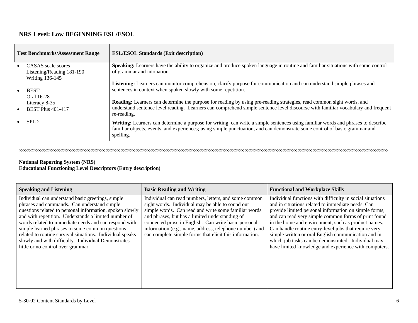# **NRS Level: Low BEGINNING ESL/ESOL**

| <b>Test Benchmarks/Assessment Range</b> |                           | <b>ESL/ESOL Standards (Exit description)</b>                                                                                                                                                                                                                                |
|-----------------------------------------|---------------------------|-----------------------------------------------------------------------------------------------------------------------------------------------------------------------------------------------------------------------------------------------------------------------------|
|                                         | • CASAS scale scores      | Speaking: Learners have the ability to organize and produce spoken language in routine and familiar situations with some control                                                                                                                                            |
|                                         | Listening/Reading 181-190 | of grammar and intonation.                                                                                                                                                                                                                                                  |
|                                         | <b>Writing 136-145</b>    |                                                                                                                                                                                                                                                                             |
|                                         |                           | Listening: Learners can monitor comprehension, clarify purpose for communication and can understand simple phrases and                                                                                                                                                      |
| $\bullet$                               | <b>BEST</b>               | sentences in context when spoken slowly with some repetition.                                                                                                                                                                                                               |
|                                         | Oral 16-28                |                                                                                                                                                                                                                                                                             |
|                                         | Literacy 8-35             | Reading: Learners can determine the purpose for reading by using pre-reading strategies, read common sight words, and<br>understand sentence level reading. Learners can comprehend simple sentence level discourse with familiar vocabulary and frequent                   |
| $\bullet$                               | <b>BEST Plus 401-417</b>  | re-reading.                                                                                                                                                                                                                                                                 |
|                                         | SPL <sub>2</sub>          | Writing: Learners can determine a purpose for writing, can write a simple sentences using familiar words and phrases to describe<br>familiar objects, events, and experiences; using simple punctuation, and can demonstrate some control of basic grammar and<br>spelling. |

∞∞∞∞∞∞∞∞∞∞∞∞∞∞∞∞∞∞∞∞∞∞∞∞∞∞∞∞∞∞∞∞∞∞∞∞∞∞∞∞∞∞∞∞∞∞∞∞∞∞∞∞∞∞∞∞∞∞∞∞∞∞∞∞∞∞∞∞∞∞∞∞∞∞∞∞∞∞∞∞∞∞∞∞∞∞∞∞∞∞∞∞∞∞∞∞∞∞

| <b>Speaking and Listening</b>                                                                                                                                                                                                                                                                                                                                                                                                                                                              | <b>Basic Reading and Writing</b>                                                                                                                                                                                                                                                                                                                                                                   | <b>Functional and Workplace Skills</b>                                                                                                                                                                                                                                                                                                                                                                                                                                                                                 |
|--------------------------------------------------------------------------------------------------------------------------------------------------------------------------------------------------------------------------------------------------------------------------------------------------------------------------------------------------------------------------------------------------------------------------------------------------------------------------------------------|----------------------------------------------------------------------------------------------------------------------------------------------------------------------------------------------------------------------------------------------------------------------------------------------------------------------------------------------------------------------------------------------------|------------------------------------------------------------------------------------------------------------------------------------------------------------------------------------------------------------------------------------------------------------------------------------------------------------------------------------------------------------------------------------------------------------------------------------------------------------------------------------------------------------------------|
| Individual can understand basic greetings, simple<br>phrases and commands. Can understand simple<br>questions related to personal information, spoken slowly<br>and with repetition. Understands a limited number of<br>words related to immediate needs and can respond with<br>simple learned phrases to some common questions<br>related to routine survival situations. Individual speaks<br>slowly and with difficulty. Individual Demonstrates<br>little or no control over grammar. | Individual can read numbers, letters, and some common<br>sight words. Individual may be able to sound out<br>simple words. Can read and write some familiar words<br>and phrases, but has a limited understanding of<br>connected prose in English. Can write basic personal<br>information (e.g., name, address, telephone number) and<br>can complete simple forms that elicit this information. | Individual functions with difficulty in social situations<br>and in situations related to immediate needs. Can<br>provide limited personal information on simple forms,<br>and can read very simple common forms of print found<br>in the home and environment, such as product names.<br>Can handle routine entry-level jobs that require very<br>simple written or oral English communication and in<br>which job tasks can be demonstrated. Individual may<br>have limited knowledge and experience with computers. |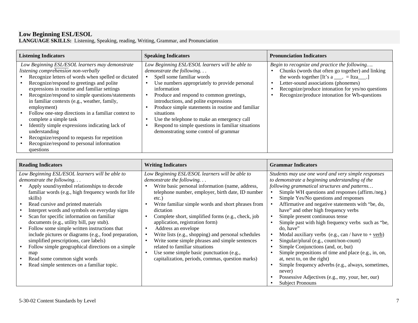#### **Low Beginning ESL/ESOL**

**LANGUAGE SKILLS:** Listening, Speaking, reading, Writing, Grammar, and Pronunciation

| <b>Listening Indicators</b>                                                                                                                                                                                                                                                                                                                                                                                                                                                                                                                                                                                                  | <b>Speaking Indicators</b>                                                                                                                                                                                                                                                                                                                                                                                                                                                      | <b>Pronunciation Indicators</b>                                                                                                                                                                                                                                                                                      |
|------------------------------------------------------------------------------------------------------------------------------------------------------------------------------------------------------------------------------------------------------------------------------------------------------------------------------------------------------------------------------------------------------------------------------------------------------------------------------------------------------------------------------------------------------------------------------------------------------------------------------|---------------------------------------------------------------------------------------------------------------------------------------------------------------------------------------------------------------------------------------------------------------------------------------------------------------------------------------------------------------------------------------------------------------------------------------------------------------------------------|----------------------------------------------------------------------------------------------------------------------------------------------------------------------------------------------------------------------------------------------------------------------------------------------------------------------|
| Low Beginning ESL/ESOL learners may demonstrate<br>listening comprehension non-verbally<br>Recognize letters of words when spelled or dictated<br>Recognize/respond to greetings and polite<br>expressions in routine and familiar settings<br>Recognize/respond to simple questions/statements<br>in familiar contexts (e.g., weather, family,<br>employment)<br>Follow one-step directions in a familiar context to<br>complete a simple task<br>Identify simple expressions indicating lack of<br>understanding<br>Recognize/respond to requests for repetition<br>Recognize/respond to personal information<br>questions | Low Beginning ESL/ESOL learners will be able to<br>demonstrate the following<br>Spell some familiar words<br>Use numbers appropriately to provide personal<br>information<br>Produce and respond to common greetings,<br>introductions, and polite expressions<br>Produce simple statements in routine and familiar<br>situations<br>Use the telephone to make an emergency call<br>Respond to simple questions in familiar situations<br>demonstrating some control of grammar | Begin to recognize and practice the following<br>Chunks (words that often go together) and linking<br>the words together [It's $a_{\text{max}} = Itza_{\text{max}}$ .]<br>Letter-sound associations (phonemes)<br>Recognize/produce intonation for yes/no questions<br>Recognize/produce intonation for Wh-questions |

| <b>Reading Indicators</b>                                                                                                                                                                                                                                                                                                                                                                                                                                                                                                                                                                                                                                                  | <b>Writing Indicators</b>                                                                                                                                                                                                                                                                                                                                                                                                                                                                                                                                                                                                           | <b>Grammar Indicators</b>                                                                                                                                                                                                                                                                                                                                                                                                                                                                                                                                                                                                                                                                                                                                                                                                              |
|----------------------------------------------------------------------------------------------------------------------------------------------------------------------------------------------------------------------------------------------------------------------------------------------------------------------------------------------------------------------------------------------------------------------------------------------------------------------------------------------------------------------------------------------------------------------------------------------------------------------------------------------------------------------------|-------------------------------------------------------------------------------------------------------------------------------------------------------------------------------------------------------------------------------------------------------------------------------------------------------------------------------------------------------------------------------------------------------------------------------------------------------------------------------------------------------------------------------------------------------------------------------------------------------------------------------------|----------------------------------------------------------------------------------------------------------------------------------------------------------------------------------------------------------------------------------------------------------------------------------------------------------------------------------------------------------------------------------------------------------------------------------------------------------------------------------------------------------------------------------------------------------------------------------------------------------------------------------------------------------------------------------------------------------------------------------------------------------------------------------------------------------------------------------------|
| Low Beginning ESL/ESOL learners will be able to<br>demonstrate the following<br>Apply sound/symbol relationships to decode<br>familiar words (e.g., high frequency words for life<br>skills)<br>Read cursive and printed materials<br>Interpret words and symbols on everyday signs<br>Scan for specific information on familiar<br>documents (e.g., utility bill, pay stub).<br>Follow some simple written instructions that<br>include pictures or diagrams (e.g., food preparation,<br>simplified prescriptions, care labels)<br>Follow simple geographical directions on a simple<br>map<br>Read some common sight words<br>Read simple sentences on a familiar topic. | Low Beginning ESL/ESOL learners will be able to<br><i>demonstrate the following</i><br>Write basic personal information (name, address,<br>telephone number, employer, birth date, ID number<br>etc.)<br>Write familiar simple words and short phrases from<br>dictation<br>Complete short, simplified forms (e.g., check, job<br>application, registration form)<br>Address an envelope<br>Write lists (e.g., shopping) and personal schedules<br>Write some simple phrases and simple sentences<br>related to familiar situations<br>Use some simple basic punctuation (e.g.,<br>capitalization, periods, commas, question marks) | Students may use one word and very simple responses<br>to demonstrate a beginning understanding of the<br>following grammatical structures and patterns<br>Simple WH questions and responses (affirm./neg.)<br>Simple Yes/No questions and responses<br>Affirmative and negative statements with "be, do,<br>have" and other high frequency verbs<br>Simple present continuous tense<br>Simple past with high frequency verbs such as "be,<br>do, have"<br>Modal auxiliary verbs (e.g., can / have to + $verb$ )<br>Singular/plural (e.g., count/non-count)<br>Simple Conjunctions (and, or, but)<br>Simple prepositions of time and place (e.g., in, on,<br>at, next to, on the right)<br>Simple frequency adverbs (e.g., always, sometimes,<br>never)<br>Possessive Adjectives (e.g., my, your, her, our)<br><b>Subject Pronouns</b> |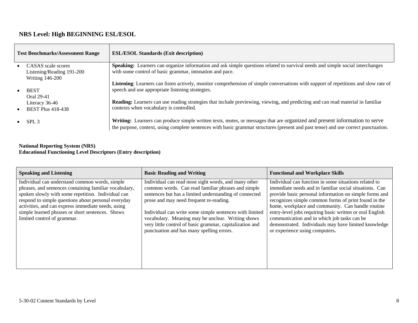# **NRS Level: High BEGINNING ESL/ESOL**

| <b>Test Benchmarks/Assessment Range</b> |                                                                             | <b>ESL/ESOL Standards (Exit description)</b>                                                                                                                                                                                                                     |
|-----------------------------------------|-----------------------------------------------------------------------------|------------------------------------------------------------------------------------------------------------------------------------------------------------------------------------------------------------------------------------------------------------------|
|                                         | • CASAS scale scores<br>Listening/Reading 191-200<br><b>Writing 146-200</b> | <b>Speaking:</b> Learners can organize information and ask simple questions related to survival needs and simple social interchanges<br>with some control of basic grammar, intonation and pace.                                                                 |
| $\bullet$                               | <b>BEST</b><br>Oral 29-41                                                   | Listening: Learners can listen actively, monitor comprehension of simple conversations with support of repetitions and slow rate of<br>speech and use appropriate listening strategies.                                                                          |
| $\bullet$                               | Literacy 36-46<br><b>BEST Plus 418-438</b>                                  | <b>Reading:</b> Learners can use reading strategies that include previewing, viewing, and predicting and can read material in familiar<br>contexts when vocabulary is controlled.                                                                                |
|                                         | SPL <sub>3</sub>                                                            | Writing: Learners can produce simple written texts, motes, or messages that are organized and present information to serve<br>the purpose, context, using complete sentences with basic grammar structures (present and past tense) and use correct punctuation. |

| <b>Speaking and Listening</b>                                                                                                                                                                                                                                                                                                                                  | <b>Basic Reading and Writing</b>                                                                                                                                                                                                                                                                                                                                                                                                         | <b>Functional and Workplace Skills</b>                                                                                                                                                                                                                                                                                                                                                                                                                                                      |
|----------------------------------------------------------------------------------------------------------------------------------------------------------------------------------------------------------------------------------------------------------------------------------------------------------------------------------------------------------------|------------------------------------------------------------------------------------------------------------------------------------------------------------------------------------------------------------------------------------------------------------------------------------------------------------------------------------------------------------------------------------------------------------------------------------------|---------------------------------------------------------------------------------------------------------------------------------------------------------------------------------------------------------------------------------------------------------------------------------------------------------------------------------------------------------------------------------------------------------------------------------------------------------------------------------------------|
| Individual can understand common words, simple<br>phrases, and sentences containing familiar vocabulary,<br>spoken slowly with some repetition. Individual can<br>respond to simple questions about personal everyday<br>activities, and can express immediate needs, using<br>simple learned phrases or short sentences. Shows<br>limited control of grammar. | Individual can read most sight words, and many other<br>common words. Can read familiar phrases and simple<br>sentences but has a limited understanding of connected<br>prose and may need frequent re-reading.<br>Individual can write some simple sentences with limited<br>vocabulary. Meaning may be unclear. Writing shows<br>very little control of basic grammar, capitalization and<br>punctuation and has many spelling errors. | Individual can function in some situations related to<br>immediate needs and in familiar social situations. Can<br>provide basic personal information on simple forms and<br>recognizes simple common forms of print found in the<br>home, workplace and community. Can handle routine<br>entry-level jobs requiring basic written or oral English<br>communication and in which job tasks can be<br>demonstrated. Individuals may have limited knowledge<br>or experience using computers. |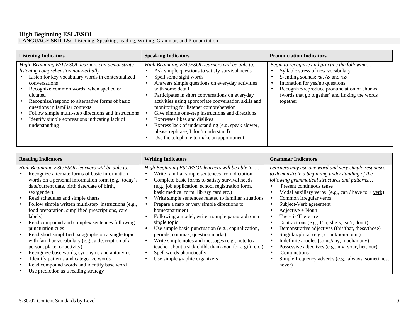### **High Beginning ESL/ESOL**

**LANGUAGE SKILLS:** Listening, Speaking, reading, Writing, Grammar, and Pronunciation

| <b>Listening Indicators</b>                                                                                                                                                                                                                                                                                                                                                                                                          | <b>Speaking Indicators</b>                                                                                                                                                                                                                                                                                                                                                                                                                                                                                                                                                           | <b>Pronunciation Indicators</b>                                                                                                                                                                                                                                          |
|--------------------------------------------------------------------------------------------------------------------------------------------------------------------------------------------------------------------------------------------------------------------------------------------------------------------------------------------------------------------------------------------------------------------------------------|--------------------------------------------------------------------------------------------------------------------------------------------------------------------------------------------------------------------------------------------------------------------------------------------------------------------------------------------------------------------------------------------------------------------------------------------------------------------------------------------------------------------------------------------------------------------------------------|--------------------------------------------------------------------------------------------------------------------------------------------------------------------------------------------------------------------------------------------------------------------------|
| High Beginning ESL/ESOL learners can demonstrate<br>listening comprehension non-verbally<br>Listen for key vocabulary words in contextualized<br>conversations<br>Recognize common words when spelled or<br>dictated<br>Recognize/respond to alternative forms of basic<br>questions in familiar contexts<br>Follow simple multi-step directions and instructions<br>Identify simple expressions indicating lack of<br>understanding | High Beginning ESL/ESOL learners will be able to<br>Ask simple questions to satisfy survival needs<br>Spell some sight words<br>Answers simple questions on everyday activities<br>with some detail<br>Participates in short conversations on everyday<br>activities using appropriate conversation skills and<br>monitoring for listener comprehension<br>Give simple one-step instructions and directions<br>Expresses likes and dislikes<br>Express lack of understanding (e.g. speak slower,<br>please rephrase, I don't understand)<br>Use the telephone to make an appointment | Begin to recognize and practice the following<br>Syllable stress of new vocabulary<br>S-ending sounds: /s/, /z/ and /Iz/<br>Intonation for yes/no questions<br>Recognize/reproduce pronunciation of chunks<br>(words that go together) and linking the words<br>together |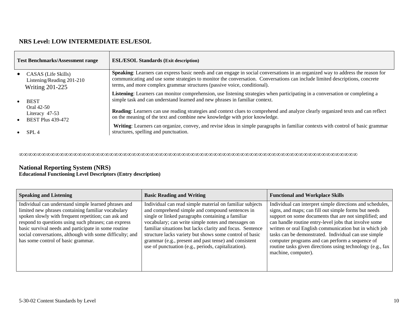# **NRS Level: LOW INTERMEDIATE ESL/ESOL**

| <b>Test Benchmarks/Assessment range</b> |                                                                            | <b>ESL/ESOL Standards (Exit description)</b>                                                                                                                                                                                                                                                                                               |
|-----------------------------------------|----------------------------------------------------------------------------|--------------------------------------------------------------------------------------------------------------------------------------------------------------------------------------------------------------------------------------------------------------------------------------------------------------------------------------------|
|                                         | CASAS (Life Skills)<br>Listening/Reading 201-210<br><b>Writing 201-225</b> | Speaking: Learners can express basic needs and can engage in social conversations in an organized way to address the reason for<br>communicating and use some strategies to monitor the conversation. Conversations can include limited descriptions, concrete<br>terms, and more complex grammar structures (passive voice, conditional). |
|                                         | <b>BEST</b>                                                                | Listening: Learners can monitor comprehension, use listening strategies when participating in a conversation or completing a<br>simple task and can understand learned and new phrases in familiar context.                                                                                                                                |
|                                         | Oral 42-50<br>Literacy 47-53<br><b>BEST Plus 439-472</b>                   | <b>Reading:</b> Learners can use reading strategies and context clues to comprehend and analyze clearly organized texts and can reflect<br>on the meaning of the text and combine new knowledge with prior knowledge.                                                                                                                      |
|                                         | SPL <sub>4</sub>                                                           | Writing: Learners can organize, convey, and revise ideas in simple paragraphs in familiar contexts with control of basic grammar<br>structures, spelling and punctuation.                                                                                                                                                                  |

∞∞∞∞∞∞∞∞∞∞∞∞∞∞∞∞∞∞∞∞∞∞∞∞∞∞∞∞∞∞∞∞∞∞∞∞∞∞∞∞∞∞∞∞∞∞∞∞∞∞∞∞∞∞∞∞∞∞∞∞∞∞∞∞∞∞∞∞∞∞∞∞∞∞∞

| <b>Speaking and Listening</b>                                                                                                                                                                                                                                                                                                                                                       | <b>Basic Reading and Writing</b>                                                                                                                                                                                                                                                                                                                                                                                                                               | <b>Functional and Workplace Skills</b>                                                                                                                                                                                                                                                                                                                                                                                                                                                         |
|-------------------------------------------------------------------------------------------------------------------------------------------------------------------------------------------------------------------------------------------------------------------------------------------------------------------------------------------------------------------------------------|----------------------------------------------------------------------------------------------------------------------------------------------------------------------------------------------------------------------------------------------------------------------------------------------------------------------------------------------------------------------------------------------------------------------------------------------------------------|------------------------------------------------------------------------------------------------------------------------------------------------------------------------------------------------------------------------------------------------------------------------------------------------------------------------------------------------------------------------------------------------------------------------------------------------------------------------------------------------|
| Individual can understand simple learned phrases and<br>limited new phrases containing familiar vocabulary<br>spoken slowly with frequent repetition; can ask and<br>respond to questions using such phrases; can express<br>basic survival needs and participate in some routine<br>social conversations, although with some difficulty; and<br>has some control of basic grammar. | Individual can read simple material on familiar subjects<br>and comprehend simple and compound sentences in<br>single or linked paragraphs containing a familiar<br>vocabulary; can write simple notes and messages on<br>familiar situations but lacks clarity and focus. Sentence<br>structure lacks variety but shows some control of basic<br>grammar (e.g., present and past tense) and consistent<br>use of punctuation (e.g., periods, capitalization). | Individual can interpret simple directions and schedules,<br>signs, and maps; can fill out simple forms but needs<br>support on some documents that are not simplified; and<br>can handle routine entry-level jobs that involve some<br>written or oral English communication but in which job<br>tasks can be demonstrated. Individual can use simple<br>computer programs and can perform a sequence of<br>routine tasks given directions using technology (e.g., fax<br>machine, computer). |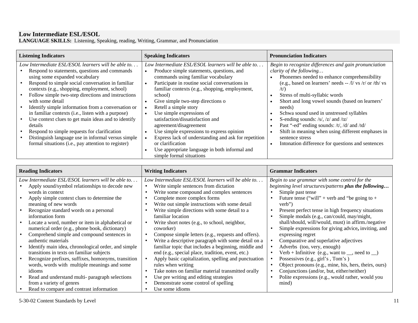#### **Low Intermediate ESL/ESOL**

**LANGUAGE SKILLS:** Listening, Speaking, reading, Writing, Grammar, and Pronunciation

| <b>Listening Indicators</b>                                                                                                                                                                                                                                                                                                             | <b>Speaking Indicators</b>                                                                                                                                                                                                                                                                                             | <b>Pronunciation Indicators</b>                                                                                                                                                                                                                                                              |
|-----------------------------------------------------------------------------------------------------------------------------------------------------------------------------------------------------------------------------------------------------------------------------------------------------------------------------------------|------------------------------------------------------------------------------------------------------------------------------------------------------------------------------------------------------------------------------------------------------------------------------------------------------------------------|----------------------------------------------------------------------------------------------------------------------------------------------------------------------------------------------------------------------------------------------------------------------------------------------|
| Low Intermediate ESL/ESOL learners will be able to<br>Respond to statements, questions and commands<br>using some expanded vocabulary<br>Respond to simple social conversation in familiar<br>contexts (e.g., shopping, employment, school)<br>Follow simple two-step directions and instructions<br>with some detail                   | Low Intermediate ESL/ESOL learners will be able to<br>Produce simple statements, questions, and<br>commands using familiar vocabulary<br>Participate in routine social conversations in<br>familiar contexts (e.g., shopping, employment,<br>school)<br>Give simple two-step directions of                             | Begin to recognize differences and gain pronunciation<br>clarity of the following<br>Phonemes needed to enhance comprehensibility<br>(e.g., based on learners' needs -- /l/ vs /r/ or /th/ vs<br>$/t$ )<br>Stress of multi-syllabic words<br>Short and long vowel sounds (based on learners' |
| Identify simple information from a conversation or<br>in familiar contexts (i.e., listen with a purpose)<br>Use context clues to get main ideas and to identify<br>details<br>Respond to simple requests for clarification<br>Distinguish language use in informal versus simple<br>formal situations (i.e., pay attention to register) | Retell a simple story<br>Use simple expressions of<br>satisfaction/dissatisfaction and<br>agreement/disagreement<br>Use simple expressions to express opinion<br>Express lack of understanding and ask for repetition<br>or clarification<br>Use appropriate language in both informal and<br>simple formal situations | needs)<br>Schwa sound used in unstressed syllables<br>S-ending sounds: /s/, /z/ and /Iz/<br>Past "-ed" ending sounds: /t/, /d/ and /td/<br>Shift in meaning when using different emphases in<br>sentence stress<br>Intonation difference for questions and sentences                         |

| <b>Reading Indicators</b>                           | <b>Writing Indicators</b>                             | <b>Grammar Indicators</b>                                  |  |
|-----------------------------------------------------|-------------------------------------------------------|------------------------------------------------------------|--|
| Low Intermediate $ESLESOL$ learners will be able to | Low Intermediate $ESL/ESOL$ learners will be able to. | Begin to use grammar with some control for the             |  |
| Apply sound/symbol relationships to decode new      | Write simple sentences from dictation                 | beginning level structures/patterns plus the following     |  |
| words in context                                    | Write some compound and complex sentences             | Simple past tense                                          |  |
| Apply simple context clues to determine the         | Complete more complex forms                           | Future tense ("will" + verb and "be going to +             |  |
| meaning of new words                                | Write out simple instructions with some detail        | verb")                                                     |  |
| Recognize standard words on a personal              | Write simple directions with some detail to a         | Present perfect tense in high frequency situations         |  |
| information form                                    | familiar location                                     | Simple modals (e.g., can/could, may/might,                 |  |
| Locate a word, number or item in alphabetical or    | Write short notes (e.g., to school, neighbor,         | shall/should, will/would, must) in affirm./negative        |  |
| numerical order (e.g., phone book, dictionary)      | coworker)                                             | Simple expressions for giving advice, inviting, and        |  |
| Comprehend simple and compound sentences in         | Compose simple letters (e.g., requests and offers).   | expressing regret                                          |  |
| authentic materials                                 | Write a descriptive paragraph with some detail on a   | Comparative and superlative adjectives                     |  |
| Identify main idea, chronological order, and simple | familiar topic that includes a beginning, middle and  | Adverbs (too, very, enough)                                |  |
| transitions in texts on familiar subjects           | end (e.g., special place, tradition, event, etc.)     | Verb + Infinitive (e.g., want to $\_\_$ , need to $\_\_$ ) |  |
| Recognize prefixes, suffixes, homonyms, transition  | Apply basic capitalization, spelling and punctuation  | Possessives (e.g., girl's, Tom's)                          |  |
| words, words with multiple meanings and some        | rules when writing                                    | Object pronouns (e.g., mine, his, hers, theirs, ours)      |  |
| idioms                                              | Take notes on familiar material transmitted orally    | Conjunctions (and/or, but, either/neither)                 |  |
| Read and understand multi-paragraph selections      | Use pre writing and editing strategies                | Polite expressions (e.g., would rather, would you          |  |
| from a variety of genres                            | Demonstrate some control of spelling                  | mind)                                                      |  |
| Read to compare and contrast information            | Use some idioms                                       |                                                            |  |

5-30-02 Content Standards by Level 11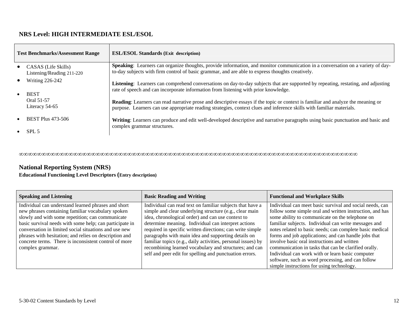# **NRS Level: HIGH INTERMEDIATE ESL/ESOL**

| <b>Test Benchmarks/Assessment Range</b> |                                                  | <b>ESL/ESOL Standards (Exit description)</b>                                                                                                                                                                                                                     |
|-----------------------------------------|--------------------------------------------------|------------------------------------------------------------------------------------------------------------------------------------------------------------------------------------------------------------------------------------------------------------------|
|                                         | CASAS (Life Skills)<br>Listening/Reading 211-220 | Speaking: Learners can organize thoughts, provide information, and monitor communication in a conversation on a variety of day-<br>to-day subjects with firm control of basic grammar, and are able to express thoughts creatively.                              |
|                                         | <b>Writing 226-242</b><br><b>BEST</b>            | Listening: Learners can comprehend conversations on day-to-day subjects that are supported by repeating, restating, and adjusting<br>rate of speech and can incorporate information from listening with prior knowledge.                                         |
|                                         | Oral 51-57<br>Literacy 54-65                     | <b>Reading:</b> Learners can read narrative prose and descriptive essays if the topic or context is familiar and analyze the meaning or<br>purpose. Learners can use appropriate reading strategies, context clues and inference skills with familiar materials. |
|                                         | <b>BEST Plus 473-506</b>                         | Writing: Learners can produce and edit well-developed descriptive and narrative paragraphs using basic punctuation and basic and                                                                                                                                 |
|                                         | SPL <sub>5</sub>                                 | complex grammar structures.                                                                                                                                                                                                                                      |

∞∞∞∞∞∞∞∞∞∞∞∞∞∞∞∞∞∞∞∞∞∞∞∞∞∞∞∞∞∞∞∞∞∞∞∞∞∞∞∞∞∞∞∞∞∞∞∞∞∞∞∞∞∞∞∞∞∞∞∞∞∞∞∞∞∞∞∞∞∞∞∞∞∞∞

## **National Reporting System (NRS)**

#### **Educational Functioning Level Descriptors (Entry description)**

| <b>Speaking and Listening</b>                                                                                                                                                                                                                                                                                                                                                                                           | <b>Basic Reading and Writing</b>                                                                                                                                                                                                                                                                                                                                                                                                                                                                                                          | <b>Functional and Workplace Skills</b>                                                                                                                                                                                                                                                                                                                                                                                                                                                                                                                                                                           |
|-------------------------------------------------------------------------------------------------------------------------------------------------------------------------------------------------------------------------------------------------------------------------------------------------------------------------------------------------------------------------------------------------------------------------|-------------------------------------------------------------------------------------------------------------------------------------------------------------------------------------------------------------------------------------------------------------------------------------------------------------------------------------------------------------------------------------------------------------------------------------------------------------------------------------------------------------------------------------------|------------------------------------------------------------------------------------------------------------------------------------------------------------------------------------------------------------------------------------------------------------------------------------------------------------------------------------------------------------------------------------------------------------------------------------------------------------------------------------------------------------------------------------------------------------------------------------------------------------------|
| Individual can understand learned phrases and short<br>new phrases containing familiar vocabulary spoken<br>slowly and with some repetition; can communicate<br>basic survival needs with some help; can participate in<br>conversation in limited social situations and use new<br>phrases with hesitation; and relies on description and<br>concrete terms. There is inconsistent control of more<br>complex grammar. | Individual can read text on familiar subjects that have a<br>simple and clear underlying structure (e.g., clear main<br>idea, chronological order) and can use context to<br>determine meaning. Individual can interpret actions<br>required in specific written directions; can write simple<br>paragraphs with main idea and supporting details on<br>familiar topics (e.g., daily activities, personal issues) by<br>recombining learned vocabulary and structures; and can<br>self and peer edit for spelling and punctuation errors. | Individual can meet basic survival and social needs, can<br>follow some simple oral and written instruction, and has<br>some ability to communicate on the telephone on<br>familiar subjects. Individual can write messages and<br>notes related to basic needs; can complete basic medical<br>forms and job applications; and can handle jobs that<br>involve basic oral instructions and written<br>communication in tasks that can be clarified orally.<br>Individual can work with or learn basic computer<br>software, such as word processing, and can follow<br>simple instructions for using technology. |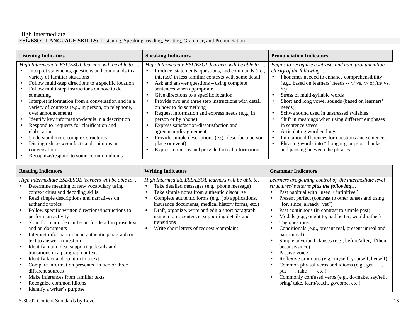#### High Intermediate **ESL/ESOL LANGUAGE SKILLS:** Listening, Speaking, reading, Writing, Grammar, and Pronunciation

| <b>Listening Indicators</b>                                                                                                                                                                                                                                                                                                                                                                                                                                                                                                                                                                                          | <b>Speaking Indicators</b>                                                                                                                                                                                                                                                                                                                                                                                                                                                                                                                                                                                                                              | <b>Pronunciation Indicators</b>                                                                                                                                                                                                                                                                                                                                                                                                                                                                                                                                                                       |
|----------------------------------------------------------------------------------------------------------------------------------------------------------------------------------------------------------------------------------------------------------------------------------------------------------------------------------------------------------------------------------------------------------------------------------------------------------------------------------------------------------------------------------------------------------------------------------------------------------------------|---------------------------------------------------------------------------------------------------------------------------------------------------------------------------------------------------------------------------------------------------------------------------------------------------------------------------------------------------------------------------------------------------------------------------------------------------------------------------------------------------------------------------------------------------------------------------------------------------------------------------------------------------------|-------------------------------------------------------------------------------------------------------------------------------------------------------------------------------------------------------------------------------------------------------------------------------------------------------------------------------------------------------------------------------------------------------------------------------------------------------------------------------------------------------------------------------------------------------------------------------------------------------|
| High Intermediate ESL/ESOL learners will be able to<br>Interpret statements, questions and commands in a<br>variety of familiar situations<br>Follow multi-step directions to a specific location<br>Follow multi-step instructions on how to do<br>something<br>Interpret information from a conversation and in a<br>variety of contexts (e.g., in person, on telephone,<br>over announcement)<br>Identify key information/details in a description<br>Respond to requests for clarification and<br>elaboration<br>Understand more complex structures<br>Distinguish between facts and opinions in<br>conversation | High Intermediate ESL/ESOL learners will be able to<br>Produce statements, questions, and commands (i.e.,<br>interact) in less familiar contexts with some detail<br>Ask and answer questions – using complete<br>sentences when appropriate<br>Give directions to a specific location<br>Provide two and three step instructions with detail<br>on how to do something<br>Request information and express needs (e.g., in<br>person or by phone)<br>Express satisfaction/dissatisfaction and<br>agreement/disagreement<br>Provide simple descriptions (e.g., describe a person,<br>place or event)<br>Express opinions and provide factual information | Begins to recognize contrasts and gain pronunciation<br>clarity of the following<br>Phonemes needed to enhance comprehensibility<br>(e.g., based on learners' needs $-$ /l/ vs. /r/ or /th/ vs.<br>$/t$ )<br>Stress of multi-syllabic words<br>Short and long vowel sounds (based on learners'<br>needs)<br>Schwa sound used in unstressed syllables<br>Shift in meanings when using different emphases<br>in sentence stress<br>Articulating word endings<br>Intonation differences for questions and sentences<br>Phrasing words into "thought groups or chunks"<br>and pausing between the phrases |
| Recognize/respond to some common idioms                                                                                                                                                                                                                                                                                                                                                                                                                                                                                                                                                                              |                                                                                                                                                                                                                                                                                                                                                                                                                                                                                                                                                                                                                                                         |                                                                                                                                                                                                                                                                                                                                                                                                                                                                                                                                                                                                       |

| High Intermediate ESL/ESOL learners will be able to<br>High Intermediate ESL/ESOL learners will be able to<br>Determine meaning of new vocabulary using<br>Take detailed messages (e.g., phone message)<br>structures/patterns plus the following<br>Past habitual with "used $+$ infinitive"<br>context clues and decoding skills<br>Take simple notes from authentic discourse<br>Read simple descriptions and narratives on<br>Complete authentic forms (e.g., job applications,<br>insurance documents, medical history forms, etc.)<br>"for, since, already, yet")<br>authentic topics<br>Draft, organize, write and edit a short paragraph<br>Follow specific written directions/instructions to<br>Past continuous (in contrast to simple past)<br>$\bullet$<br>$\bullet$ | <b>Grammar Indicators</b>                                                                                                                                                                                                                                                                                                                                                                                                                            | <b>Writing Indicators</b>                      | <b>Reading Indicators</b> |  |
|----------------------------------------------------------------------------------------------------------------------------------------------------------------------------------------------------------------------------------------------------------------------------------------------------------------------------------------------------------------------------------------------------------------------------------------------------------------------------------------------------------------------------------------------------------------------------------------------------------------------------------------------------------------------------------------------------------------------------------------------------------------------------------|------------------------------------------------------------------------------------------------------------------------------------------------------------------------------------------------------------------------------------------------------------------------------------------------------------------------------------------------------------------------------------------------------------------------------------------------------|------------------------------------------------|---------------------------|--|
| Skim for main idea and scan for detail in prose text<br>transitions<br>Tag questions<br>and on documents<br>Write short letters of request /complaint<br>Interpret information in an authentic paragraph or<br>past unreal)<br>text to answer a question<br>Identify main idea, supporting details and<br>because/since)<br>transitions in a paragraph or text<br>Passive voice<br>$\bullet$<br>Identify fact and opinion in a text<br>Compare information presented in two or three<br>different sources<br>put $\_\_$ , take $\_\_$ etc.)<br>Make inferences from familiar texts<br>bring/take, learn/teach, go/come, etc.)<br>Recognize common idioms<br>Identify a writer's purpose                                                                                          | Learners are gaining control of the intermediate level<br>Present perfect (contrast to other tenses and using<br>Modals (e.g., ought to, had better, would rather)<br>Conditionals (e.g., present real, present unreal and<br>Simple adverbial clauses (e.g., before/after, if/then,<br>Reflexive pronouns (e.g., myself, yourself, herself)<br>Common phrasal verbs and idioms (e.g., get ___,<br>Commonly confused verbs (e.g., do/make, say/tell, | using a topic sentence, supporting details and | perform an activity       |  |

5-30-02 Content Standards by Level 13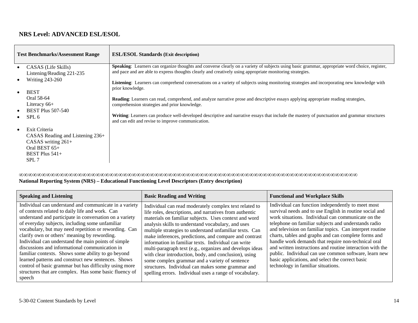# **NRS Level: ADVANCED ESL/ESOL**

| <b>Test Benchmarks/Assessment Range</b>                                                                                                  | <b>ESL/ESOL Standards (Exit description)</b>                                                                                                                                                                                                                |
|------------------------------------------------------------------------------------------------------------------------------------------|-------------------------------------------------------------------------------------------------------------------------------------------------------------------------------------------------------------------------------------------------------------|
| CASAS (Life Skills)<br>$\bullet$<br>Listening/Reading 221-235                                                                            | Speaking: Learners can organize thoughts and converse clearly on a variety of subjects using basic grammar, appropriate word choice, register,<br>and pace and are able to express thoughts clearly and creatively using appropriate monitoring strategies. |
| <b>Writing 243-260</b><br>$\bullet$<br><b>BEST</b><br>$\bullet$                                                                          | Listening: Learners can comprehend conversations on a variety of subjects using monitoring strategies and incorporating new knowledge with<br>prior knowledge.                                                                                              |
| Oral 58-64<br>Literacy $66+$                                                                                                             | Reading: Learners can read, comprehend, and analyze narrative prose and descriptive essays applying appropriate reading strategies,<br>comprehension strategies and prior knowledge.                                                                        |
| <b>BEST Plus 507-540</b><br>$\bullet$<br>SPL <sub>6</sub><br>$\bullet$                                                                   | <b>Writing:</b> Learners can produce well-developed descriptive and narrative essays that include the mastery of punctuation and grammar structures<br>and can edit and revise to improve communication.                                                    |
| Exit Criteria<br>$\bullet$<br>CASAS Reading and Listening $236+$<br>CASAS writing $261+$<br>Oral BEST $65+$<br>BEST Plus $541+$<br>SPL 7 |                                                                                                                                                                                                                                                             |

∞∞∞∞∞∞∞∞∞∞∞∞∞∞∞∞∞∞∞∞∞∞∞∞∞∞∞∞∞∞∞∞∞∞∞∞∞∞∞∞∞∞∞∞∞∞∞∞∞∞∞∞∞∞∞∞∞∞∞∞∞∞∞∞∞∞∞∞∞∞∞∞∞∞∞

| <b>Speaking and Listening</b>                                                                                                                                                                                                                                                                                                                                                                                                                                                                                                                                                                                                                                                        | <b>Basic Reading and Writing</b>                                                                                                                                                                                                                                                                                                                                                                                                                                                                                                                                                                                                                                                                    | <b>Functional and Workplace Skills</b>                                                                                                                                                                                                                                                                                                                                                                                                                                                                                                                                                                                 |
|--------------------------------------------------------------------------------------------------------------------------------------------------------------------------------------------------------------------------------------------------------------------------------------------------------------------------------------------------------------------------------------------------------------------------------------------------------------------------------------------------------------------------------------------------------------------------------------------------------------------------------------------------------------------------------------|-----------------------------------------------------------------------------------------------------------------------------------------------------------------------------------------------------------------------------------------------------------------------------------------------------------------------------------------------------------------------------------------------------------------------------------------------------------------------------------------------------------------------------------------------------------------------------------------------------------------------------------------------------------------------------------------------------|------------------------------------------------------------------------------------------------------------------------------------------------------------------------------------------------------------------------------------------------------------------------------------------------------------------------------------------------------------------------------------------------------------------------------------------------------------------------------------------------------------------------------------------------------------------------------------------------------------------------|
| Individual can understand and communicate in a variety<br>of contexts related to daily life and work. Can<br>understand and participate in conversation on a variety<br>of everyday subjects, including some unfamiliar<br>vocabulary, but may need repetition or rewording. Can<br>clarify own or others' meaning by rewording.<br>Individual can understand the main points of simple<br>discussions and informational communication in<br>familiar contexts. Shows some ability to go beyond<br>learned patterns and construct new sentences. Shows<br>control of basic grammar but has difficulty using more<br>structures that are complex. Has some basic fluency of<br>speech | Individual can read moderately complex text related to<br>life roles, descriptions, and narratives from authentic<br>materials on familiar subjects. Uses context and word<br>analysis skills to understand vocabulary, and uses<br>multiple strategies to understand unfamiliar texts. Can<br>make inferences, predictions, and compare and contrast<br>information in familiar texts. Individual can write<br>multi-paragraph text (e.g., organizes and develops ideas<br>with clear introduction, body, and conclusion), using<br>some complex grammar and a variety of sentence<br>structures. Individual can makes some grammar and<br>spelling errors. Individual uses a range of vocabulary. | Individual can function independently to meet most<br>survival needs and to use English in routine social and<br>work situations. Individual can communicate on the<br>telephone on familiar subjects and understands radio<br>and television on familiar topics. Can interpret routine<br>charts, tables and graphs and can complete forms and<br>handle work demands that require non-technical oral<br>and written instructions and routine interaction with the<br>public. Individual can use common software, learn new<br>basic applications, and select the correct basic<br>technology in familiar situations. |